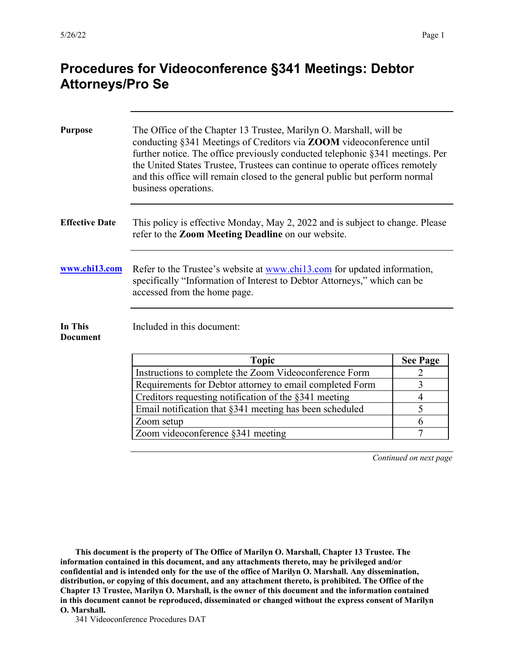| <b>Purpose</b>             | The Office of the Chapter 13 Trustee, Marilyn O. Marshall, will be<br>conducting §341 Meetings of Creditors via ZOOM videoconference until<br>further notice. The office previously conducted telephonic §341 meetings. Per<br>the United States Trustee, Trustees can continue to operate offices remotely<br>and this office will remain closed to the general public but perform normal<br>business operations. |                 |
|----------------------------|--------------------------------------------------------------------------------------------------------------------------------------------------------------------------------------------------------------------------------------------------------------------------------------------------------------------------------------------------------------------------------------------------------------------|-----------------|
| <b>Effective Date</b>      | This policy is effective Monday, May 2, 2022 and is subject to change. Please<br>refer to the Zoom Meeting Deadline on our website.                                                                                                                                                                                                                                                                                |                 |
| www.chi13.com              | Refer to the Trustee's website at <u>www.chil3.com</u> for updated information,<br>specifically "Information of Interest to Debtor Attorneys," which can be<br>accessed from the home page.                                                                                                                                                                                                                        |                 |
| In This<br><b>Document</b> | Included in this document:                                                                                                                                                                                                                                                                                                                                                                                         |                 |
|                            | <b>Topic</b>                                                                                                                                                                                                                                                                                                                                                                                                       | <b>See Page</b> |
|                            | Instructions to complete the Zoom Videoconference Form                                                                                                                                                                                                                                                                                                                                                             | 2               |
|                            | Requirements for Debtor attorney to email completed Form                                                                                                                                                                                                                                                                                                                                                           | 3               |
|                            | Creditors requesting notification of the §341 meeting                                                                                                                                                                                                                                                                                                                                                              | $\overline{4}$  |
|                            | Email notification that §341 meeting has been scheduled                                                                                                                                                                                                                                                                                                                                                            | 5               |
|                            | Zoom setup                                                                                                                                                                                                                                                                                                                                                                                                         | 6               |
|                            | Zoom videoconference §341 meeting                                                                                                                                                                                                                                                                                                                                                                                  | $\overline{7}$  |

*Continued on next page*

**This document is the property of The Office of Marilyn O. Marshall, Chapter 13 Trustee. The information contained in this document, and any attachments thereto, may be privileged and/or confidential and is intended only for the use of the office of Marilyn O. Marshall. Any dissemination, distribution, or copying of this document, and any attachment thereto, is prohibited. The Office of the Chapter 13 Trustee, Marilyn O. Marshall, is the owner of this document and the information contained in this document cannot be reproduced, disseminated or changed without the express consent of Marilyn O. Marshall.**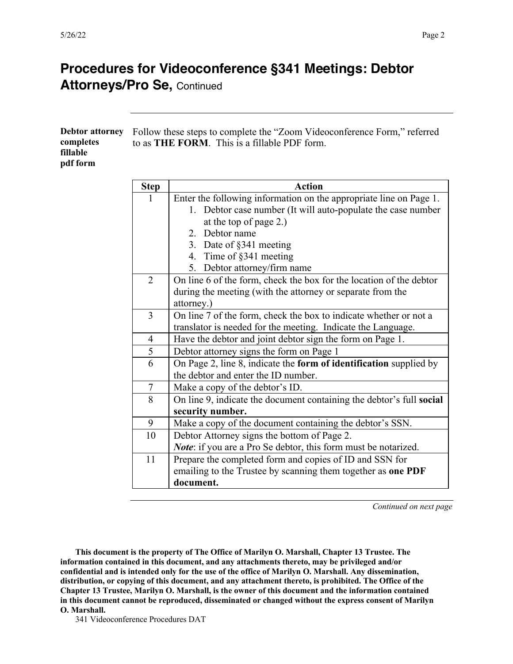| <b>Debtor attorney</b><br>completes<br>fillable<br>pdf form |             | Follow these steps to complete the "Zoom Videoconference Form," referred<br>to as <b>THE FORM</b> . This is a fillable PDF form.   |  |
|-------------------------------------------------------------|-------------|------------------------------------------------------------------------------------------------------------------------------------|--|
|                                                             | <b>Step</b> | Action                                                                                                                             |  |
|                                                             |             | Enter the following information on the appropriate line on Page 1.<br>1. Debtor case number (It will auto-populate the case number |  |

| 1              | Enter the following information on the appropriate line on Page 1.   |
|----------------|----------------------------------------------------------------------|
|                | 1. Debtor case number (It will auto-populate the case number         |
|                | at the top of page 2.)                                               |
|                | Debtor name<br>$2^{+}$                                               |
|                | 3. Date of §341 meeting                                              |
|                | 4. Time of §341 meeting                                              |
|                | Debtor attorney/firm name<br>5.                                      |
| $\overline{2}$ | On line 6 of the form, check the box for the location of the debtor  |
|                | during the meeting (with the attorney or separate from the           |
|                | attorney.)                                                           |
| 3              | On line 7 of the form, check the box to indicate whether or not a    |
|                | translator is needed for the meeting. Indicate the Language.         |
| $\overline{4}$ | Have the debtor and joint debtor sign the form on Page 1.            |
| $\overline{5}$ | Debtor attorney signs the form on Page 1                             |
| 6              | On Page 2, line 8, indicate the form of identification supplied by   |
|                | the debtor and enter the ID number.                                  |
| $\tau$         | Make a copy of the debtor's ID.                                      |
| 8              | On line 9, indicate the document containing the debtor's full social |
|                | security number.                                                     |
| 9              | Make a copy of the document containing the debtor's SSN.             |
| 10             | Debtor Attorney signs the bottom of Page 2.                          |
|                | Note: if you are a Pro Se debtor, this form must be notarized.       |
| 11             | Prepare the completed form and copies of ID and SSN for              |
|                | emailing to the Trustee by scanning them together as one PDF         |
|                | document.                                                            |
|                |                                                                      |

*Continued on next page*

**This document is the property of The Office of Marilyn O. Marshall, Chapter 13 Trustee. The information contained in this document, and any attachments thereto, may be privileged and/or confidential and is intended only for the use of the office of Marilyn O. Marshall. Any dissemination, distribution, or copying of this document, and any attachment thereto, is prohibited. The Office of the Chapter 13 Trustee, Marilyn O. Marshall, is the owner of this document and the information contained in this document cannot be reproduced, disseminated or changed without the express consent of Marilyn O. Marshall.**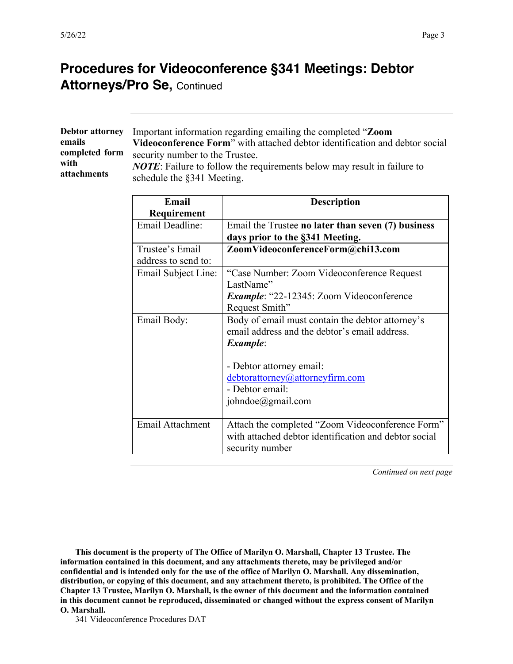|                | Debtor attorney Important information regarding emailing the completed "Zoom           |
|----------------|----------------------------------------------------------------------------------------|
| emails         | Videoconference Form" with attached debtor identification and debtor social            |
| completed form | security number to the Trustee.                                                        |
| with           | <b><i>NOTE</i></b> : Failure to follow the requirements below may result in failure to |
| attachments    | schedule the §341 Meeting.                                                             |

| Email                   | <b>Description</b>                                    |
|-------------------------|-------------------------------------------------------|
| Requirement             |                                                       |
| Email Deadline:         | Email the Trustee no later than seven (7) business    |
|                         | days prior to the §341 Meeting.                       |
| Trustee's Email         | ZoomVideoconferenceForm@chi13.com                     |
| address to send to:     |                                                       |
| Email Subject Line:     | "Case Number: Zoom Videoconference Request            |
|                         | LastName"                                             |
|                         | <b>Example: "22-12345: Zoom Videoconference</b>       |
|                         | Request Smith"                                        |
| Email Body:             | Body of email must contain the debtor attorney's      |
|                         | email address and the debtor's email address.         |
|                         | <i>Example:</i>                                       |
|                         |                                                       |
|                         | - Debtor attorney email:                              |
|                         | debtorattorney@attorneyfirm.com                       |
|                         | - Debtor email:                                       |
|                         | johndoe@gmail.com                                     |
|                         |                                                       |
| <b>Email Attachment</b> | Attach the completed "Zoom Videoconference Form"      |
|                         | with attached debtor identification and debtor social |
|                         | security number                                       |

*Continued on next page*

**This document is the property of The Office of Marilyn O. Marshall, Chapter 13 Trustee. The information contained in this document, and any attachments thereto, may be privileged and/or confidential and is intended only for the use of the office of Marilyn O. Marshall. Any dissemination, distribution, or copying of this document, and any attachment thereto, is prohibited. The Office of the Chapter 13 Trustee, Marilyn O. Marshall, is the owner of this document and the information contained in this document cannot be reproduced, disseminated or changed without the express consent of Marilyn O. Marshall.**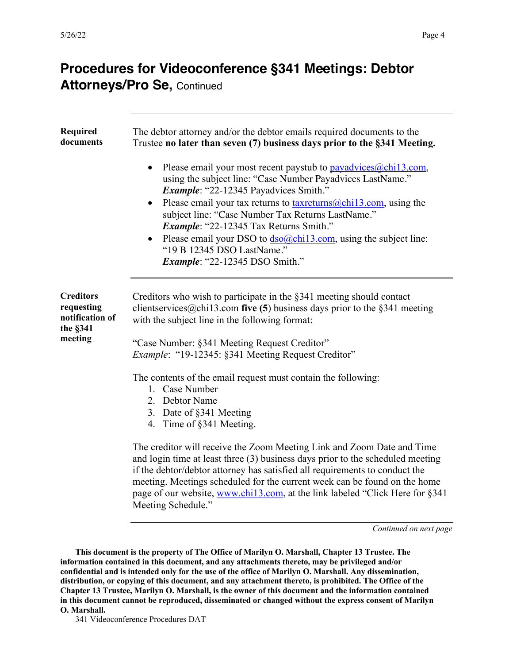| <b>Required</b><br>documents                                             | The debtor attorney and/or the debtor emails required documents to the<br>Trustee no later than seven (7) business days prior to the §341 Meeting.<br>Please email your most recent paystub to $\frac{p_{avad}vices(a)chi13.com}{p_{avad}vices(a)}$<br>using the subject line: "Case Number Payadvices LastName."<br>Example: "22-12345 Payadvices Smith."<br>Please email your tax returns to $\frac{\text{taxreturns}}{a\text{chil3.com}}$ , using the<br>subject line: "Case Number Tax Returns LastName."<br>Example: "22-12345 Tax Returns Smith."<br>Please email your DSO to $\frac{d\text{so}(\omega \text{chi}13 \text{} \text{cm})}{d\text{so}(\omega \text{cm})}$ using the subject line:<br>"19 B 12345 DSO LastName."<br><i>Example</i> : "22-12345 DSO Smith."                                                                                                                                  |
|--------------------------------------------------------------------------|---------------------------------------------------------------------------------------------------------------------------------------------------------------------------------------------------------------------------------------------------------------------------------------------------------------------------------------------------------------------------------------------------------------------------------------------------------------------------------------------------------------------------------------------------------------------------------------------------------------------------------------------------------------------------------------------------------------------------------------------------------------------------------------------------------------------------------------------------------------------------------------------------------------|
| <b>Creditors</b><br>requesting<br>notification of<br>the §341<br>meeting | Creditors who wish to participate in the $\S 341$ meeting should contact<br>clients ervices $@$ chil 3.com five (5) business days prior to the §341 meeting<br>with the subject line in the following format:<br>"Case Number: §341 Meeting Request Creditor"<br>Example: "19-12345: §341 Meeting Request Creditor"<br>The contents of the email request must contain the following:<br>1. Case Number<br>2. Debtor Name<br>3. Date of §341 Meeting<br>4. Time of §341 Meeting.<br>The creditor will receive the Zoom Meeting Link and Zoom Date and Time<br>and login time at least three (3) business days prior to the scheduled meeting<br>if the debtor/debtor attorney has satisfied all requirements to conduct the<br>meeting. Meetings scheduled for the current week can be found on the home<br>page of our website, www.chil3.com, at the link labeled "Click Here for §341<br>Meeting Schedule." |

*Continued on next page*

**This document is the property of The Office of Marilyn O. Marshall, Chapter 13 Trustee. The information contained in this document, and any attachments thereto, may be privileged and/or confidential and is intended only for the use of the office of Marilyn O. Marshall. Any dissemination, distribution, or copying of this document, and any attachment thereto, is prohibited. The Office of the Chapter 13 Trustee, Marilyn O. Marshall, is the owner of this document and the information contained in this document cannot be reproduced, disseminated or changed without the express consent of Marilyn O. Marshall.**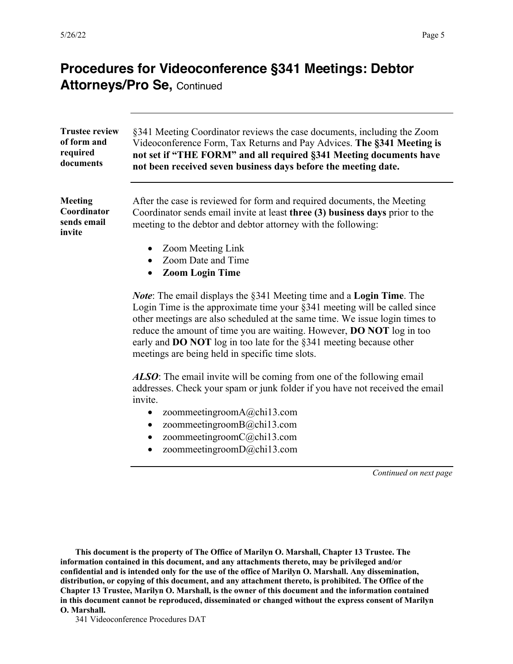| <b>Trustee review</b><br>of form and<br>required<br>documents | §341 Meeting Coordinator reviews the case documents, including the Zoom<br>Videoconference Form, Tax Returns and Pay Advices. The §341 Meeting is<br>not set if "THE FORM" and all required §341 Meeting documents have<br>not been received seven business days before the meeting date.                                                                                                                                                             |  |
|---------------------------------------------------------------|-------------------------------------------------------------------------------------------------------------------------------------------------------------------------------------------------------------------------------------------------------------------------------------------------------------------------------------------------------------------------------------------------------------------------------------------------------|--|
| <b>Meeting</b><br>Coordinator<br>sends email<br>invite        | After the case is reviewed for form and required documents, the Meeting<br>Coordinator sends email invite at least three (3) business days prior to the<br>meeting to the debtor and debtor attorney with the following:                                                                                                                                                                                                                              |  |
|                                                               | Zoom Meeting Link                                                                                                                                                                                                                                                                                                                                                                                                                                     |  |
|                                                               | Zoom Date and Time                                                                                                                                                                                                                                                                                                                                                                                                                                    |  |
|                                                               | <b>Zoom Login Time</b>                                                                                                                                                                                                                                                                                                                                                                                                                                |  |
|                                                               | <i>Note</i> : The email displays the §341 Meeting time and a Login Time. The<br>Login Time is the approximate time your §341 meeting will be called since<br>other meetings are also scheduled at the same time. We issue login times to<br>reduce the amount of time you are waiting. However, DO NOT log in too<br>early and <b>DO NOT</b> log in too late for the $\S341$ meeting because other<br>meetings are being held in specific time slots. |  |
|                                                               | <b>ALSO:</b> The email invite will be coming from one of the following email<br>addresses. Check your spam or junk folder if you have not received the email<br>invite.                                                                                                                                                                                                                                                                               |  |
|                                                               | zoommeetingroomA@chi13.com<br>$\bullet$                                                                                                                                                                                                                                                                                                                                                                                                               |  |
|                                                               | zoommeetingroomB@chi13.com<br>$\bullet$                                                                                                                                                                                                                                                                                                                                                                                                               |  |
|                                                               | zoommeetingroomC@chi13.com                                                                                                                                                                                                                                                                                                                                                                                                                            |  |
|                                                               | zoommeetingroomD@chi13.com                                                                                                                                                                                                                                                                                                                                                                                                                            |  |
|                                                               | Continued on next page                                                                                                                                                                                                                                                                                                                                                                                                                                |  |
|                                                               |                                                                                                                                                                                                                                                                                                                                                                                                                                                       |  |

**This document is the property of The Office of Marilyn O. Marshall, Chapter 13 Trustee. The information contained in this document, and any attachments thereto, may be privileged and/or confidential and is intended only for the use of the office of Marilyn O. Marshall. Any dissemination, distribution, or copying of this document, and any attachment thereto, is prohibited. The Office of the Chapter 13 Trustee, Marilyn O. Marshall, is the owner of this document and the information contained in this document cannot be reproduced, disseminated or changed without the express consent of Marilyn O. Marshall.**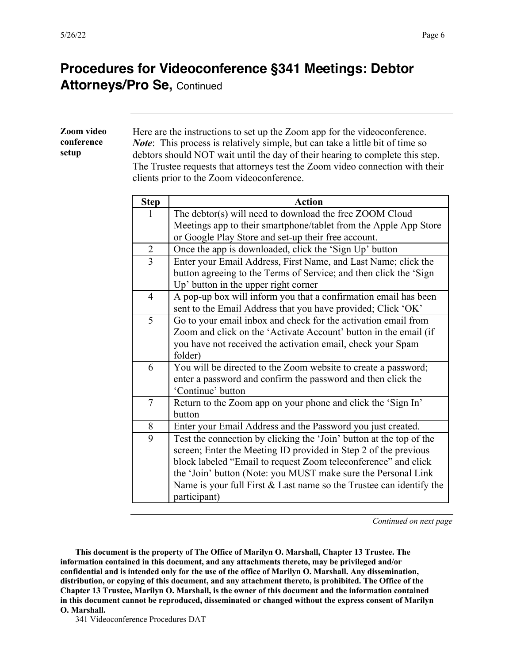| Zoom video<br>conference<br>setup |                | Here are the instructions to set up the Zoom app for the videoconference.<br><i>Note</i> : This process is relatively simple, but can take a little bit of time so<br>debtors should NOT wait until the day of their hearing to complete this step.                                                                                                                |
|-----------------------------------|----------------|--------------------------------------------------------------------------------------------------------------------------------------------------------------------------------------------------------------------------------------------------------------------------------------------------------------------------------------------------------------------|
|                                   |                | The Trustee requests that attorneys test the Zoom video connection with their<br>clients prior to the Zoom videoconference.                                                                                                                                                                                                                                        |
|                                   | <b>Step</b>    | <b>Action</b>                                                                                                                                                                                                                                                                                                                                                      |
|                                   | 1              | The debtor(s) will need to download the free ZOOM Cloud<br>Meetings app to their smartphone/tablet from the Apple App Store<br>or Google Play Store and set-up their free account.                                                                                                                                                                                 |
|                                   | $\overline{2}$ | Once the app is downloaded, click the 'Sign Up' button                                                                                                                                                                                                                                                                                                             |
|                                   | $\overline{3}$ | Enter your Email Address, First Name, and Last Name; click the<br>button agreeing to the Terms of Service; and then click the 'Sign<br>Up' button in the upper right corner                                                                                                                                                                                        |
|                                   | $\overline{4}$ | A pop-up box will inform you that a confirmation email has been<br>sent to the Email Address that you have provided; Click 'OK'                                                                                                                                                                                                                                    |
|                                   | 5              | Go to your email inbox and check for the activation email from<br>Zoom and click on the 'Activate Account' button in the email (if<br>you have not received the activation email, check your Spam<br>folder)                                                                                                                                                       |
|                                   | 6              | You will be directed to the Zoom website to create a password;<br>enter a password and confirm the password and then click the<br>'Continue' button                                                                                                                                                                                                                |
|                                   | $\overline{7}$ | Return to the Zoom app on your phone and click the 'Sign In'<br>button                                                                                                                                                                                                                                                                                             |
|                                   | 8              | Enter your Email Address and the Password you just created.                                                                                                                                                                                                                                                                                                        |
|                                   | $\overline{9}$ | Test the connection by clicking the 'Join' button at the top of the<br>screen; Enter the Meeting ID provided in Step 2 of the previous<br>block labeled "Email to request Zoom teleconference" and click<br>the 'Join' button (Note: you MUST make sure the Personal Link<br>Name is your full First $&$ Last name so the Trustee can identify the<br>participant) |

*Continued on next page*

**This document is the property of The Office of Marilyn O. Marshall, Chapter 13 Trustee. The information contained in this document, and any attachments thereto, may be privileged and/or confidential and is intended only for the use of the office of Marilyn O. Marshall. Any dissemination, distribution, or copying of this document, and any attachment thereto, is prohibited. The Office of the Chapter 13 Trustee, Marilyn O. Marshall, is the owner of this document and the information contained in this document cannot be reproduced, disseminated or changed without the express consent of Marilyn O. Marshall.**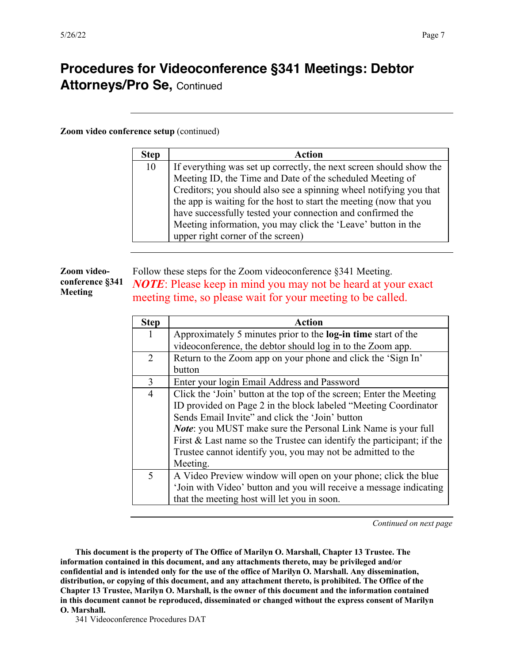# **Procedures for Videoconference §341 Meetings: Debtor**

**Attorneys/Pro Se,** Continued

**Zoom video conference setup** (continued)

| <b>Step</b> | Action                                                              |
|-------------|---------------------------------------------------------------------|
| 10          | If everything was set up correctly, the next screen should show the |
|             | Meeting ID, the Time and Date of the scheduled Meeting of           |
|             | Creditors; you should also see a spinning wheel notifying you that  |
|             | the app is waiting for the host to start the meeting (now that you  |
|             | have successfully tested your connection and confirmed the          |
|             | Meeting information, you may click the 'Leave' button in the        |
|             | upper right corner of the screen)                                   |

#### **Zoom videoconference §341 Meeting** Follow these steps for the Zoom videoconference §341 Meeting. *NOTE*: Please keep in mind you may not be heard at your exact meeting time, so please wait for your meeting to be called.

| <b>Step</b>    | Action                                                                |
|----------------|-----------------------------------------------------------------------|
| 1              | Approximately 5 minutes prior to the <b>log-in time</b> start of the  |
|                | videoconference, the debtor should log in to the Zoom app.            |
| $\overline{2}$ | Return to the Zoom app on your phone and click the 'Sign In'          |
|                | button                                                                |
| 3              | Enter your login Email Address and Password                           |
| $\overline{4}$ | Click the 'Join' button at the top of the screen; Enter the Meeting   |
|                | ID provided on Page 2 in the block labeled "Meeting Coordinator"      |
|                | Sends Email Invite" and click the 'Join' button                       |
|                | <i>Note:</i> you MUST make sure the Personal Link Name is your full   |
|                | First & Last name so the Trustee can identify the participant; if the |
|                | Trustee cannot identify you, you may not be admitted to the           |
|                | Meeting.                                                              |
| 5              | A Video Preview window will open on your phone; click the blue        |
|                | 'Join with Video' button and you will receive a message indicating    |
|                | that the meeting host will let you in soon.                           |

*Continued on next page*

**This document is the property of The Office of Marilyn O. Marshall, Chapter 13 Trustee. The information contained in this document, and any attachments thereto, may be privileged and/or confidential and is intended only for the use of the office of Marilyn O. Marshall. Any dissemination, distribution, or copying of this document, and any attachment thereto, is prohibited. The Office of the Chapter 13 Trustee, Marilyn O. Marshall, is the owner of this document and the information contained in this document cannot be reproduced, disseminated or changed without the express consent of Marilyn O. Marshall.**